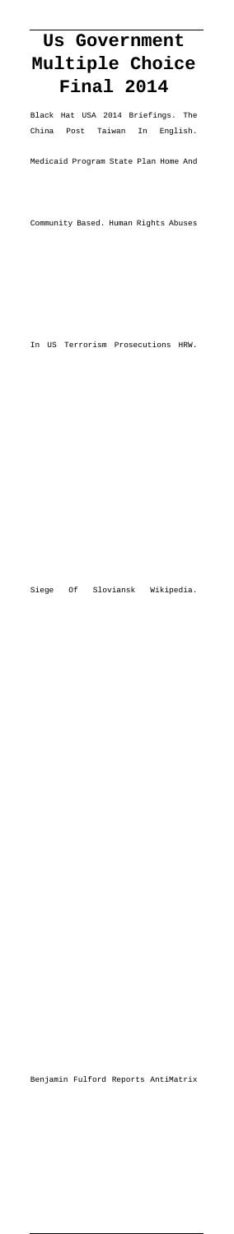# **Us Government Multiple Choice Final 2014**

Black Hat USA 2014 Briefings. The China Post Taiwan In English.

Medicaid Program State Plan Home And

Community Based. Human Rights Abuses

In US Terrorism Prosecutions HRW.

Siege Of Sloviansk Wikipedia.

Benjamin Fulford Reports AntiMatrix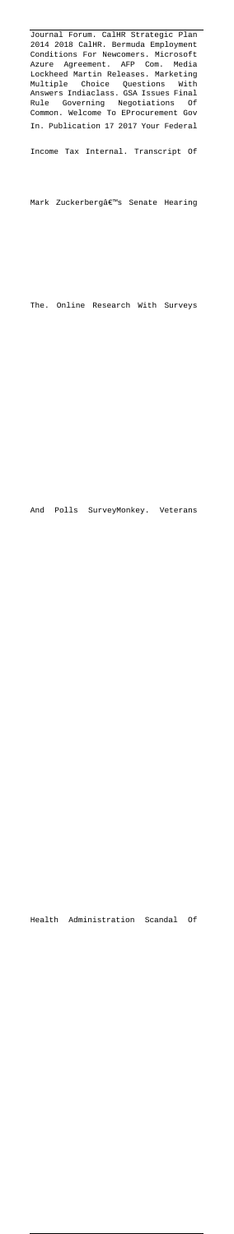Journal Forum. CalHR Strategic Plan 2014 2018 CalHR. Bermuda Employment Conditions For Newcomers. Microsoft Azure Agreement. AFP Com. Media Lockheed Martin Releases. Marketing Multiple Choice Questions With Answers Indiaclass. GSA Issues Final Rule Governing Negotiations Of Common. Welcome To EProcurement Gov In. Publication 17 2017 Your Federal

Income Tax Internal. Transcript Of

Mark Zuckerberg's Senate Hearing

The. Online Research With Surveys

And Polls SurveyMonkey. Veterans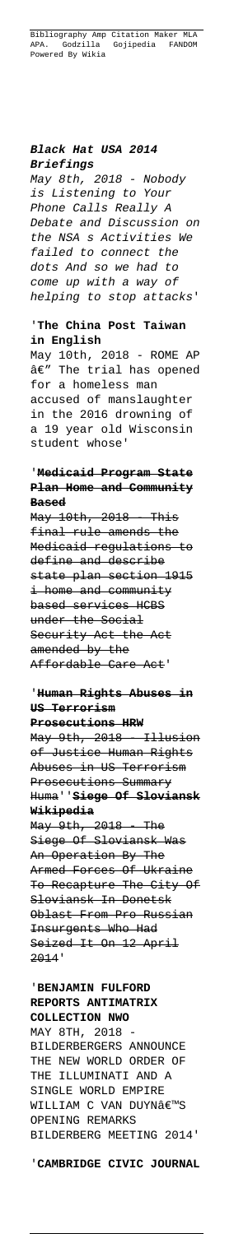Bibliography Amp Citation Maker MLA APA. Godzilla Gojipedia FANDOM Powered By Wikia

# **Black Hat USA 2014 Briefings**

May 8th, 2018 - Nobody is Listening to Your Phone Calls Really A Debate and Discussion on the NSA s Activities We failed to connect the dots And so we had to come up with a way of helping to stop attacks'

## '**The China Post Taiwan in English**

May 10th, 2018 - ROME AP  $a \in T$  The trial has opened for a homeless man accused of manslaughter in the 2016 drowning of a 19 year old Wisconsin student whose'

May 9th, 2018 - Illusion of Justice Human Rights Abuses in US Terrorism Prosecutions Summary Huma''**Siege Of Sloviansk Wikipedia**

# '**Medicaid Program State Plan Home and Community Based**

May 10th, 2018 - This final rule amends the Medicaid regulations to define and describe state plan section 1915 i home and community based services HCBS under the Social Security Act the Act amended by the Affordable Care Act'

# '**Human Rights Abuses in US Terrorism**

## **Prosecutions HRW**

May 9th, 2018 - The Siege Of Sloviansk Was An Operation By The Armed Forces Of Ukraine To Recapture The City Of Sloviansk In Donetsk Oblast From Pro Russian Insurgents Who Had Seized It On 12 April 2014'

# '**BENJAMIN FULFORD REPORTS ANTIMATRIX COLLECTION NWO** MAY 8TH, 2018 BILDERBERGERS ANNOUNCE THE NEW WORLD ORDER OF THE ILLUMINATI AND A SINGLE WORLD EMPIRE WILLIAM C VAN DUYNâ€<sup>™</sup>S OPENING REMARKS BILDERBERG MEETING 2014'

#### '**CAMBRIDGE CIVIC JOURNAL**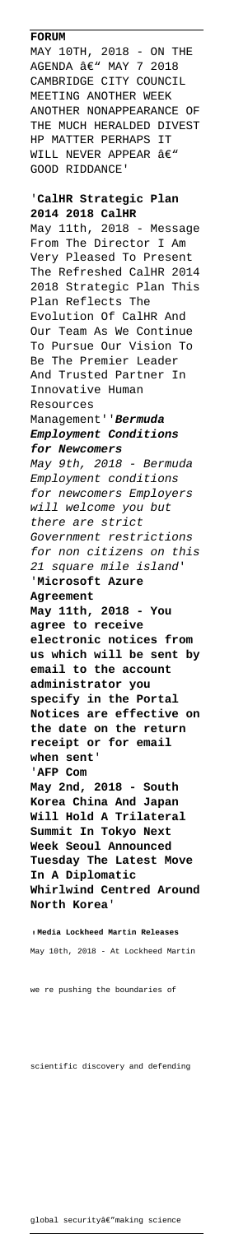#### **FORUM**

MAY 10TH, 2018 - ON THE  $AGENDA$   $\hat{a}\in$ " MAY 7 2018 CAMBRIDGE CITY COUNCIL MEETING ANOTHER WEEK ANOTHER NONAPPEARANCE OF THE MUCH HERALDED DIVEST HP MATTER PERHAPS IT WILL NEVER APPEAR  $\hat{a}\in$ " GOOD RIDDANCE'

## '**CalHR Strategic Plan 2014 2018 CalHR**

May 11th, 2018 - Message From The Director I Am Very Pleased To Present The Refreshed CalHR 2014 2018 Strategic Plan This Plan Reflects The Evolution Of CalHR And Our Team As We Continue To Pursue Our Vision To Be The Premier Leader And Trusted Partner In Innovative Human Resources Management''**Bermuda Employment Conditions for Newcomers** May 9th, 2018 - Bermuda Employment conditions for newcomers Employers will welcome you but there are strict Government restrictions for non citizens on this 21 square mile island' '**Microsoft Azure Agreement May 11th, 2018 - You agree to receive electronic notices from us which will be sent by email to the account administrator you specify in the Portal Notices are effective on the date on the return receipt or for email when sent**' '**AFP Com May 2nd, 2018 - South Korea China And Japan Will Hold A Trilateral Summit In Tokyo Next Week Seoul Announced**

**Tuesday The Latest Move In A Diplomatic Whirlwind Centred Around North Korea**'

'**Media Lockheed Martin Releases**

May 10th, 2018 - At Lockheed Martin

#### we re pushing the boundaries of

#### scientific discovery and defending

global securityâ€"making science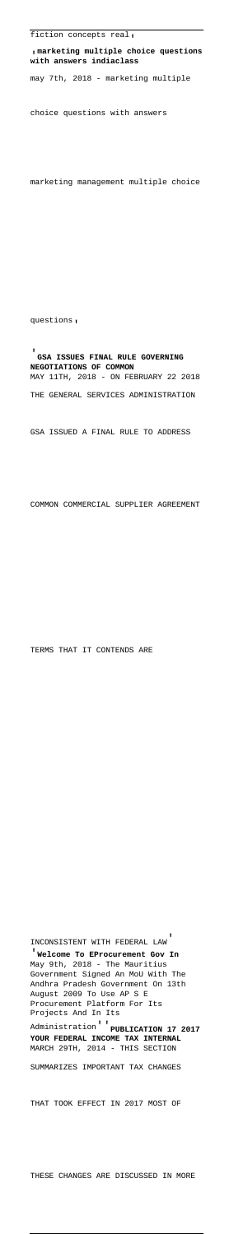'**marketing multiple choice questions with answers indiaclass**

may 7th, 2018 - marketing multiple

choice questions with answers

marketing management multiple choice

questions'

#### '**GSA ISSUES FINAL RULE GOVERNING NEGOTIATIONS OF COMMON** MAY 11TH, 2018 - ON FEBRUARY 22 2018

THE GENERAL SERVICES ADMINISTRATION

May 9th, 2018 - The Mauritius Government Signed An MoU With The Andhra Pradesh Government On 13th August 2009 To Use AP S E Procurement Platform For Its Projects And In Its

GSA ISSUED A FINAL RULE TO ADDRESS

COMMON COMMERCIAL SUPPLIER AGREEMENT

TERMS THAT IT CONTENDS ARE

Administration''**PUBLICATION 17 2017 YOUR FEDERAL INCOME TAX INTERNAL** MARCH 29TH, 2014 - THIS SECTION

SUMMARIZES IMPORTANT TAX CHANGES

THAT TOOK EFFECT IN 2017 MOST OF

THESE CHANGES ARE DISCUSSED IN MORE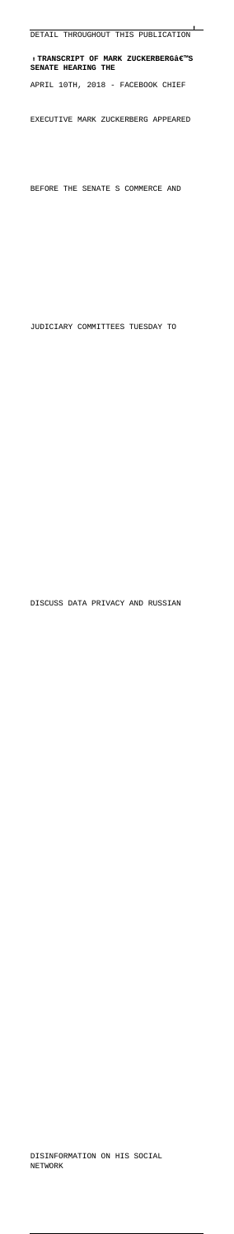DETAIL THROUGHOUT THIS PUBLICATION' , TRANSCRIPT OF MARK ZUCKERBERG'S<br>'Pllate internation **SENATE HEARING THE** APRIL 10TH, 2018 - FACEBOOK CHIEF EXECUTIVE MARK ZUCKERBERG APPEARED

BEFORE THE SENATE S COMMERCE AND

JUDICIARY COMMITTEES TUESDAY TO

DISCUSS DATA PRIVACY AND RUSSIAN

#### DISINFORMATION ON HIS SOCIAL NETWORK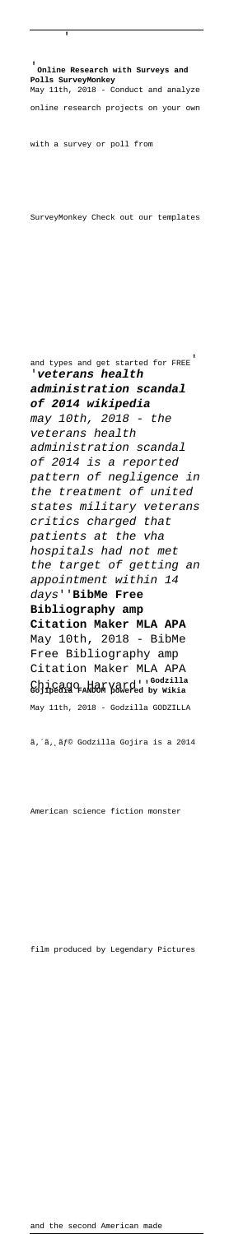'**Online Research with Surveys and Polls SurveyMonkey** May 11th, 2018 - Conduct and analyze online research projects on your own with a survey or poll from

'

SurveyMonkey Check out our templates

and types and get started for FREE' '**veterans health administration scandal of 2014 wikipedia** may 10th, 2018 - the veterans health administration scandal of 2014 is a reported pattern of negligence in the treatment of united states military veterans critics charged that patients at the vha hospitals had not met the target of getting an appointment within 14 days''**BibMe Free Bibliography amp Citation Maker MLA APA** May 10th, 2018 - BibMe Free Bibliography amp Citation Maker MLA APA Chicago Harvard''**Godzilla Gojipedia FANDOM powered by Wikia** May 11th, 2018 - Godzilla GODZILLA

ã, ´ã, ¸ãƒ© Godzilla Gojira is a 2014

American science fiction monster

film produced by Legendary Pictures

and the second American made